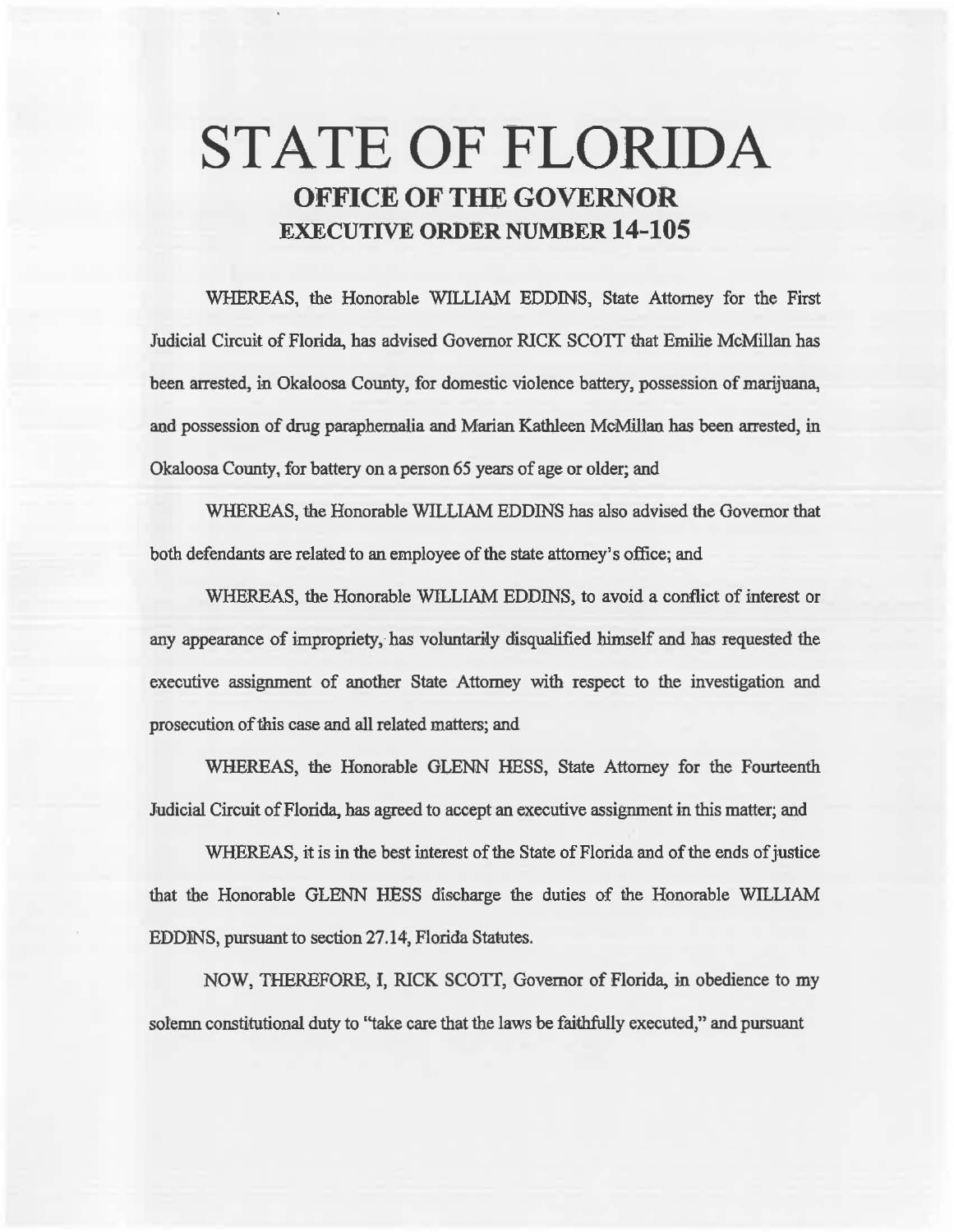# **STATE OF FLORIDA OFFICE OF THE GOVERNOR EXECUTIVE ORDER NUMBER 14-105**

WHEREAS, the Honorable WILLIAM EDDINS, State Attorney for the First Judicial Circuit of Florida, has advised Governor RICK SCOTI that Emilie McMillan has been arrested, in Okaloosa County, for domestic violence battery, possession of marijuana, and possession of drug paraphernalia and Marian Kathleen McMillan has been arrested, in Okaloosa County, for battery on a person 65 years of age or older; and

WHEREAS, the Honorable WILLIAM EDDINS has also advised the Governor that both defendants are related to an employee of the state attorney's office; and

WHEREAS, the Honorable WILLIAM EDDINS, to avoid a conflict of interest or any appearance of impropriety, has voluntarily disqualified himself and has requested the executive assignment of another State Attorney with respect to the investigation and prosecution of this case and all related matters; and

WHEREAS, the Honorable GLENN HESS, State Attorney for the Fourteenth Judicial Circuit of Florida, bas agreed to accept an executive assignment in this matter; and

WHEREAS, it is in the best interest of the State of Florida and of the ends of justice that the Honorable GLENN HESS d'iscbarge the duties of the Honorable WILLIAM EDDINS, pursuant to section 27.14, Florida Statutes.

NOW, THEREFORE, I, RICK SCOTI, Governor of Florida, in obedience to my solemn constitutional duty to "take care that the laws be faithfully executed," and pursuant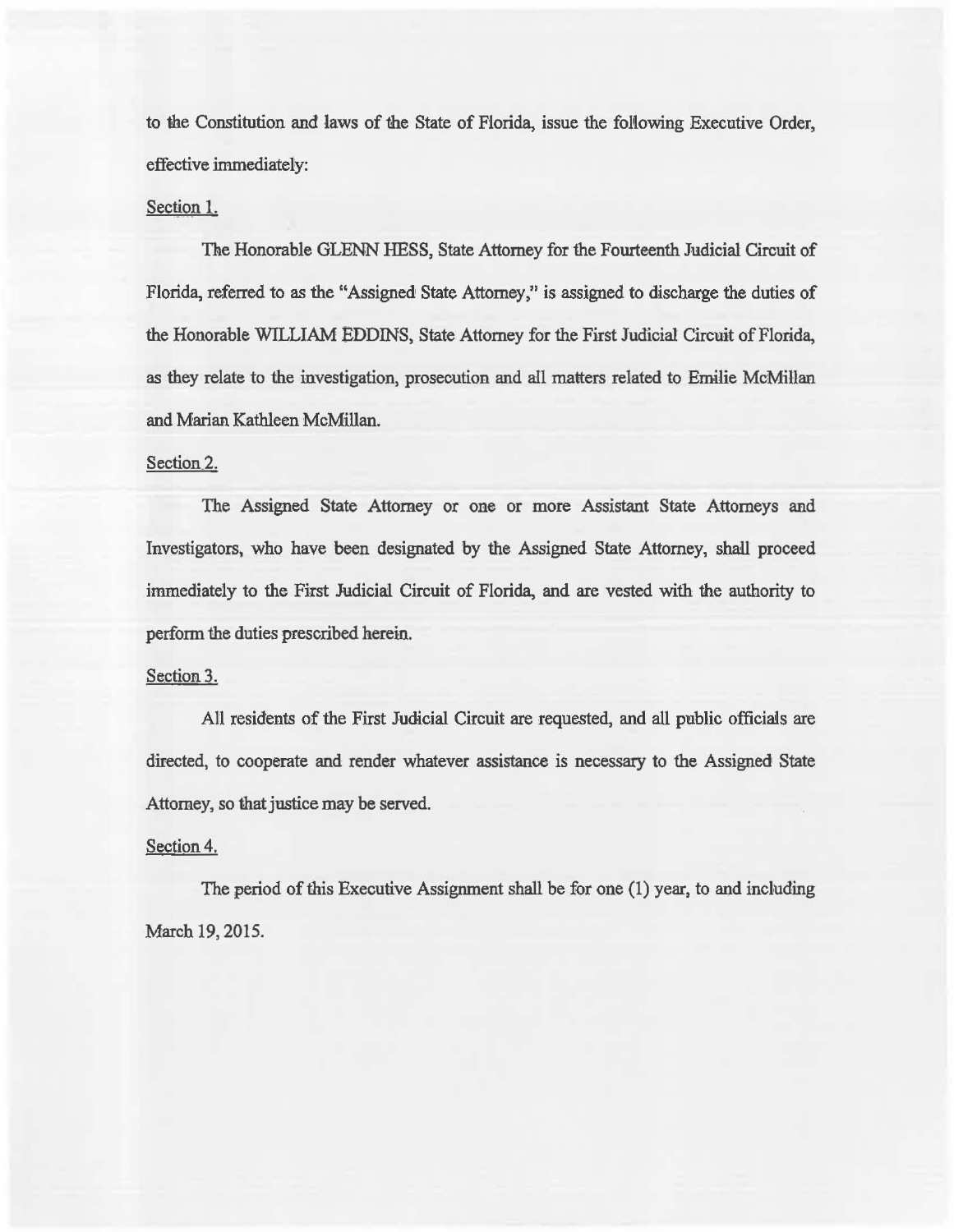to the Constitution and laws of the State of Florida, issue the following Executive Order, effective immediately:

### Section l.

The Honorable GLENN HESS, State Attorney for the Fourteenth Judicial Circuit of Florida, referred to as the "Assigned State Attorney," is assigned to discharge the duties of the Honorable WILLIAM EDDINS, State Attorney for the First Judicial Circuit of Florida, as they relate to the investigation, prosecution and all matters related to Emilie McMillan and Marian Kathleen McMillan.

## Section 2.

The Assigned State Attorney or one or more Assistant State Attorneys and Investigators, who have been designated by the Assigned State Attorney, shall proceed immediately to the First Judicial Circuit of Florida, and are vested with the authority to petform the duties prescribed herein.

## Section 3.

All residents of the First Judicial Circuit are requested, and all public officials are directed, to cooperate and render whatever assistance is necessary to the Assigned State Attorney, so that justice may be served.

### Section 4.

The period of this Executive Assignment shall be for one (1) year, to and including March 19, 2015.